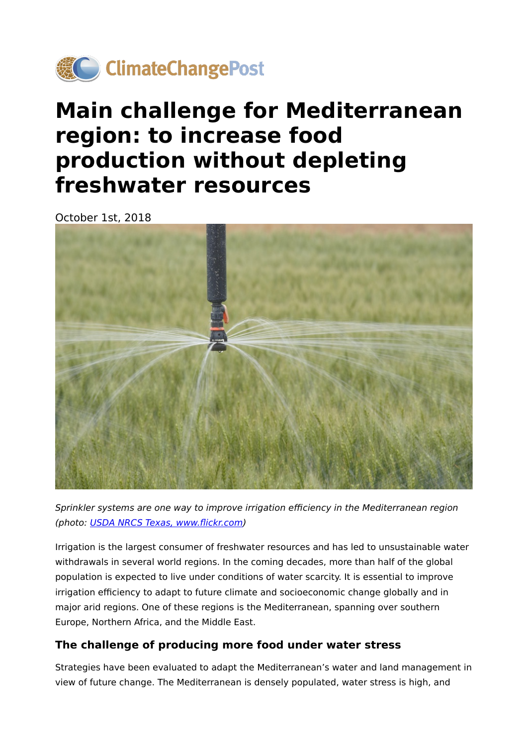

# **Main challenge for Mediterranean region: to increase food production without depleting freshwater resources**

October 1st, 2018



Sprinkler systems are one way to improve irrigation efficiency in the Mediterranean region (photo: [USDA NRCS Texas, www.](https://www.flickr.com/photos/139446213@N03/24743055879/in/photolist-DGsCtH-FGbkzz-9Rwh8N-8RVDyh-9o2Q7W-WFvJTf-9EBr81-9VKAkY-XmgRBA-pCrMBL-9WH2yD-8Kgyxo-WHJ1zP-9of4u8-9oodaT-9oi73Y-83vpaP-9tfrPM-9B75pP-XT85JL-9BeNB8-WFtkb9-8LsZ7U-XT83oU-V9n5RS-XXetU6-5ALDL8-6Tt8k8-9oo9Br-9tfszk-9AAPNh-cdjigf-9o2QPA-9BeLF8-9AYY7y-7v8ySC-dEffCB-VJC1QE-9o2NeS-9B769V-9ydXHo-cjWwBJ-nQ9umE-9o2Lgf-9HGudZ-bGNWYg-WFtjQ9-9HLGK5-9tfuhH-hd2Ntd)flickr.com)

Irrigation is the largest consumer of freshwater resources and has led to unsustainable water withdrawals in several world regions. In the coming decades, more than half of the global population is expected to live under conditions of water scarcity. It is essential to improve irrigation efficiency to adapt to future climate and socioeconomic change globally and in major arid regions. One of these regions is the Mediterranean, spanning over southern Europe, Northern Africa, and the Middle East.

#### **The challenge of producing more food under water stress**

Strategies have been evaluated to adapt the Mediterranean's water and land management in view of future change. The Mediterranean is densely populated, water stress is high, and